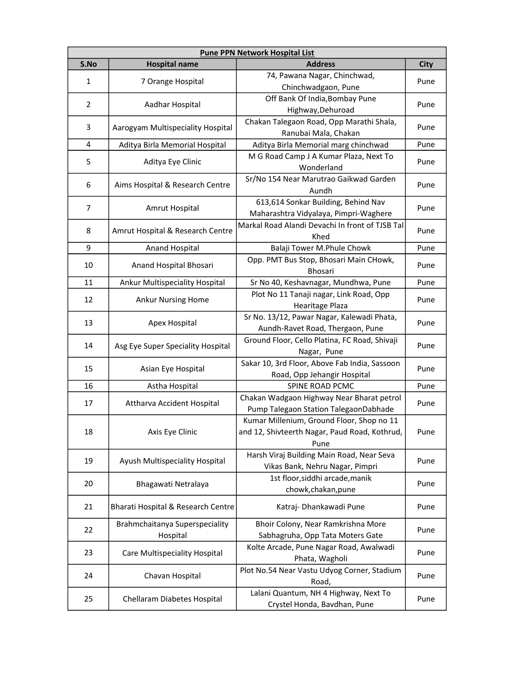| <b>Pune PPN Network Hospital List</b> |                                    |                                                                              |                                                                                                      |
|---------------------------------------|------------------------------------|------------------------------------------------------------------------------|------------------------------------------------------------------------------------------------------|
| S.No                                  | <b>Hospital name</b>               | <b>Address</b>                                                               | <b>City</b>                                                                                          |
| 1                                     | 7 Orange Hospital                  | 74, Pawana Nagar, Chinchwad,                                                 |                                                                                                      |
|                                       |                                    | Chinchwadgaon, Pune                                                          | Pune<br>Pune<br>Pune<br>Pune<br>Pune<br>Pune<br>Pune<br>Pune<br>Pune<br>Pune<br>Pune                 |
| $\overline{2}$                        | Aadhar Hospital                    | Off Bank Of India, Bombay Pune                                               |                                                                                                      |
|                                       |                                    | Highway, Dehuroad                                                            |                                                                                                      |
| 3                                     | Aarogyam Multispeciality Hospital  | Chakan Talegaon Road, Opp Marathi Shala,                                     |                                                                                                      |
|                                       |                                    | Ranubai Mala, Chakan                                                         |                                                                                                      |
| 4                                     | Aditya Birla Memorial Hospital     | Aditya Birla Memorial marg chinchwad                                         |                                                                                                      |
| 5                                     | Aditya Eye Clinic                  | M G Road Camp J A Kumar Plaza, Next To                                       |                                                                                                      |
|                                       |                                    | Wonderland                                                                   |                                                                                                      |
| 6                                     | Aims Hospital & Research Centre    | Sr/No 154 Near Marutrao Gaikwad Garden                                       |                                                                                                      |
|                                       |                                    | Aundh                                                                        |                                                                                                      |
| 7                                     | Amrut Hospital                     | 613,614 Sonkar Building, Behind Nav                                          |                                                                                                      |
|                                       |                                    | Maharashtra Vidyalaya, Pimpri-Waghere                                        |                                                                                                      |
| 8                                     | Amrut Hospital & Research Centre   | Markal Road Alandi Devachi In front of TJSB Tal                              |                                                                                                      |
|                                       |                                    | Khed                                                                         |                                                                                                      |
| 9                                     | Anand Hospital                     | Balaji Tower M.Phule Chowk                                                   |                                                                                                      |
| 10                                    | Anand Hospital Bhosari             | Opp. PMT Bus Stop, Bhosari Main CHowk,                                       |                                                                                                      |
|                                       |                                    | <b>Bhosari</b>                                                               |                                                                                                      |
| 11                                    | Ankur Multispeciality Hospital     | Sr No 40, Keshavnagar, Mundhwa, Pune                                         |                                                                                                      |
| 12                                    | <b>Ankur Nursing Home</b>          | Plot No 11 Tanaji nagar, Link Road, Opp                                      | Pune                                                                                                 |
|                                       |                                    | Hearitage Plaza                                                              |                                                                                                      |
| 13                                    | Apex Hospital                      | Sr No. 13/12, Pawar Nagar, Kalewadi Phata,                                   | Pune<br>Pune<br>Pune<br>Pune<br>Pune<br>Pune<br>Pune<br>Pune<br>Pune<br>Pune<br>Pune<br>Pune<br>Pune |
|                                       |                                    | Aundh-Ravet Road, Thergaon, Pune                                             |                                                                                                      |
| 14                                    | Asg Eye Super Speciality Hospital  | Ground Floor, Cello Platina, FC Road, Shivaji                                |                                                                                                      |
|                                       |                                    | Nagar, Pune                                                                  |                                                                                                      |
| 15                                    | Asian Eye Hospital                 | Sakar 10, 3rd Floor, Above Fab India, Sassoon<br>Road, Opp Jehangir Hospital |                                                                                                      |
| 16                                    | Astha Hospital                     | SPINE ROAD PCMC                                                              |                                                                                                      |
|                                       |                                    | Chakan Wadgaon Highway Near Bharat petrol                                    |                                                                                                      |
| 17                                    | Attharva Accident Hospital         | Pump Talegaon Station TalegaonDabhade                                        |                                                                                                      |
|                                       |                                    | Kumar Millenium, Ground Floor, Shop no 11                                    |                                                                                                      |
| 18                                    | Axis Eye Clinic                    | and 12, Shivteerth Nagar, Paud Road, Kothrud,                                |                                                                                                      |
|                                       |                                    | Pune                                                                         |                                                                                                      |
|                                       |                                    | Harsh Viraj Building Main Road, Near Seva                                    |                                                                                                      |
| 19                                    | Ayush Multispeciality Hospital     | Vikas Bank, Nehru Nagar, Pimpri                                              |                                                                                                      |
|                                       |                                    | 1st floor, siddhi arcade, manik                                              |                                                                                                      |
| 20                                    | Bhagawati Netralaya                | chowk, chakan, pune                                                          |                                                                                                      |
|                                       |                                    |                                                                              |                                                                                                      |
| 21                                    | Bharati Hospital & Research Centre | Katraj- Dhankawadi Pune                                                      |                                                                                                      |
|                                       | Brahmchaitanya Superspeciality     | Bhoir Colony, Near Ramkrishna More                                           |                                                                                                      |
| 22                                    | Hospital                           | Sabhagruha, Opp Tata Moters Gate                                             |                                                                                                      |
|                                       |                                    | Kolte Arcade, Pune Nagar Road, Awalwadi                                      |                                                                                                      |
| 23                                    | Care Multispeciality Hospital      | Phata, Wagholi                                                               |                                                                                                      |
| 24                                    |                                    | Plot No.54 Near Vastu Udyog Corner, Stadium                                  |                                                                                                      |
|                                       | Chavan Hospital                    | Road,                                                                        |                                                                                                      |
|                                       |                                    | Lalani Quantum, NH 4 Highway, Next To                                        |                                                                                                      |
| 25                                    | Chellaram Diabetes Hospital        | Crystel Honda, Bavdhan, Pune                                                 |                                                                                                      |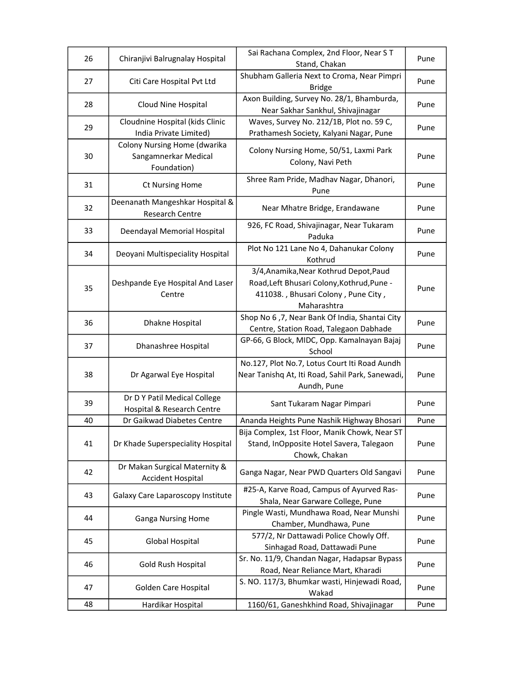| 26 | Chiranjivi Balrugnalay Hospital                                     | Sai Rachana Complex, 2nd Floor, Near ST<br>Stand, Chakan                                                                                   | Pune |
|----|---------------------------------------------------------------------|--------------------------------------------------------------------------------------------------------------------------------------------|------|
| 27 | Citi Care Hospital Pvt Ltd                                          | Shubham Galleria Next to Croma, Near Pimpri<br><b>Bridge</b>                                                                               | Pune |
| 28 | Cloud Nine Hospital                                                 | Axon Building, Survey No. 28/1, Bhamburda,<br>Near Sakhar Sankhul, Shivajinagar                                                            | Pune |
| 29 | Cloudnine Hospital (kids Clinic<br>India Private Limited)           | Waves, Survey No. 212/1B, Plot no. 59 C,<br>Prathamesh Society, Kalyani Nagar, Pune                                                        | Pune |
| 30 | Colony Nursing Home (dwarika<br>Sangamnerkar Medical<br>Foundation) | Colony Nursing Home, 50/51, Laxmi Park<br>Colony, Navi Peth                                                                                | Pune |
| 31 | <b>Ct Nursing Home</b>                                              | Shree Ram Pride, Madhav Nagar, Dhanori,<br>Pune                                                                                            | Pune |
| 32 | Deenanath Mangeshkar Hospital &<br><b>Research Centre</b>           | Near Mhatre Bridge, Erandawane                                                                                                             | Pune |
| 33 | Deendayal Memorial Hospital                                         | 926, FC Road, Shivajinagar, Near Tukaram<br>Paduka                                                                                         | Pune |
| 34 | Deoyani Multispeciality Hospital                                    | Plot No 121 Lane No 4, Dahanukar Colony<br>Kothrud                                                                                         | Pune |
| 35 | Deshpande Eye Hospital And Laser<br>Centre                          | 3/4, Anamika, Near Kothrud Depot, Paud<br>Road, Left Bhusari Colony, Kothrud, Pune -<br>411038., Bhusari Colony, Pune City,<br>Maharashtra | Pune |
| 36 | Dhakne Hospital                                                     | Shop No 6,7, Near Bank Of India, Shantai City<br>Centre, Station Road, Talegaon Dabhade                                                    | Pune |
| 37 | Dhanashree Hospital                                                 | GP-66, G Block, MIDC, Opp. Kamalnayan Bajaj<br>School                                                                                      | Pune |
| 38 | Dr Agarwal Eye Hospital                                             | No.127, Plot No.7, Lotus Court Iti Road Aundh<br>Near Tanishq At, Iti Road, Sahil Park, Sanewadi,<br>Aundh, Pune                           | Pune |
| 39 | Dr D Y Patil Medical College<br>Hospital & Research Centre          | Sant Tukaram Nagar Pimpari                                                                                                                 | Pune |
| 40 | Dr Gaikwad Diabetes Centre                                          | Ananda Heights Pune Nashik Highway Bhosari                                                                                                 | Pune |
| 41 | Dr Khade Superspeciality Hospital                                   | Bija Complex, 1st Floor, Manik Chowk, Near ST<br>Stand, InOpposite Hotel Savera, Talegaon<br>Chowk, Chakan                                 | Pune |
| 42 | Dr Makan Surgical Maternity &<br><b>Accident Hospital</b>           | Ganga Nagar, Near PWD Quarters Old Sangavi                                                                                                 | Pune |
| 43 | Galaxy Care Laparoscopy Institute                                   | #25-A, Karve Road, Campus of Ayurved Ras-<br>Shala, Near Garware College, Pune                                                             | Pune |
| 44 | <b>Ganga Nursing Home</b>                                           | Pingle Wasti, Mundhawa Road, Near Munshi<br>Chamber, Mundhawa, Pune                                                                        | Pune |
| 45 | <b>Global Hospital</b>                                              | 577/2, Nr Dattawadi Police Chowly Off.<br>Sinhagad Road, Dattawadi Pune                                                                    | Pune |
| 46 | Gold Rush Hospital                                                  | Sr. No. 11/9, Chandan Nagar, Hadapsar Bypass<br>Road, Near Reliance Mart, Kharadi                                                          | Pune |
| 47 | Golden Care Hospital                                                | S. NO. 117/3, Bhumkar wasti, Hinjewadi Road,<br>Wakad                                                                                      | Pune |
| 48 | Hardikar Hospital                                                   | 1160/61, Ganeshkhind Road, Shivajinagar                                                                                                    | Pune |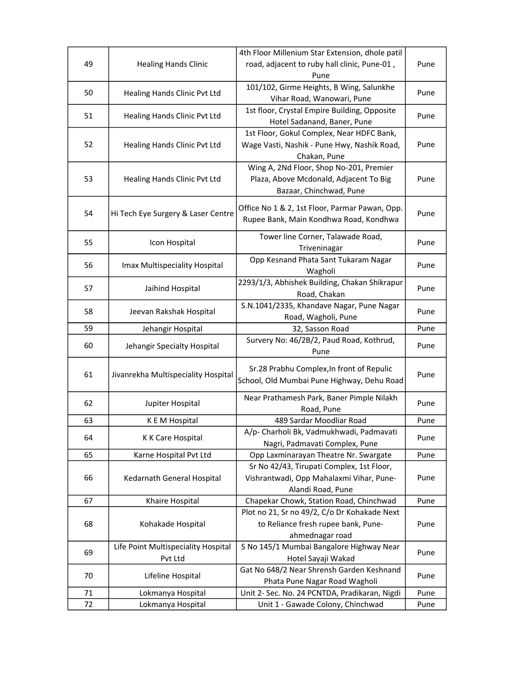|    |                                     | 4th Floor Millenium Star Extension, dhole patil |      |
|----|-------------------------------------|-------------------------------------------------|------|
| 49 | <b>Healing Hands Clinic</b>         | road, adjacent to ruby hall clinic, Pune-01,    | Pune |
|    |                                     | Pune                                            |      |
| 50 | Healing Hands Clinic Pvt Ltd        | 101/102, Girme Heights, B Wing, Salunkhe        | Pune |
|    |                                     | Vihar Road, Wanowari, Pune                      |      |
| 51 | Healing Hands Clinic Pvt Ltd        | 1st floor, Crystal Empire Building, Opposite    | Pune |
|    |                                     | Hotel Sadanand, Baner, Pune                     |      |
|    |                                     | 1st Floor, Gokul Complex, Near HDFC Bank,       |      |
| 52 | Healing Hands Clinic Pvt Ltd        | Wage Vasti, Nashik - Pune Hwy, Nashik Road,     | Pune |
|    |                                     | Chakan, Pune                                    |      |
|    |                                     | Wing A, 2Nd Floor, Shop No-201, Premier         |      |
| 53 | Healing Hands Clinic Pvt Ltd        | Plaza, Above Mcdonald, Adjacent To Big          | Pune |
|    |                                     | Bazaar, Chinchwad, Pune                         |      |
|    |                                     | Office No 1 & 2, 1st Floor, Parmar Pawan, Opp.  |      |
| 54 | Hi Tech Eye Surgery & Laser Centre  | Rupee Bank, Main Kondhwa Road, Kondhwa          | Pune |
|    |                                     |                                                 |      |
| 55 | Icon Hospital                       | Tower line Corner, Talawade Road,               | Pune |
|    |                                     | Triveninagar                                    |      |
| 56 |                                     | Opp Kesnand Phata Sant Tukaram Nagar            | Pune |
|    | Imax Multispeciality Hospital       | Wagholi                                         |      |
| 57 | Jaihind Hospital                    | 2293/1/3, Abhishek Building, Chakan Shikrapur   |      |
|    |                                     | Road, Chakan                                    | Pune |
|    |                                     | S.N.1041/2335, Khandave Nagar, Pune Nagar       |      |
| 58 | Jeevan Rakshak Hospital             | Road, Wagholi, Pune                             | Pune |
| 59 | Jehangir Hospital                   | 32, Sasson Road                                 | Pune |
| 60 |                                     | Survery No: 46/2B/2, Paud Road, Kothrud,        | Pune |
|    | Jehangir Specialty Hospital         | Pune                                            |      |
|    |                                     | Sr.28 Prabhu Complex, In front of Repulic       |      |
| 61 | Jivanrekha Multispeciality Hospital | School, Old Mumbai Pune Highway, Dehu Road      | Pune |
|    |                                     |                                                 |      |
| 62 | Jupiter Hospital                    | Near Prathamesh Park, Baner Pimple Nilakh       | Pune |
|    |                                     | Road, Pune                                      |      |
| 63 | K E M Hospital                      | 489 Sardar Moodliar Road                        | Pune |
| 64 | K K Care Hospital                   | A/p- Charholi Bk, Vadmukhwadi, Padmavati        | Pune |
|    |                                     | Nagri, Padmavati Complex, Pune                  |      |
| 65 | Karne Hospital Pvt Ltd              | Opp Laxminarayan Theatre Nr. Swargate           | Pune |
|    |                                     | Sr No 42/43, Tirupati Complex, 1st Floor,       |      |
| 66 | Kedarnath General Hospital          | Vishrantwadi, Opp Mahalaxmi Vihar, Pune-        | Pune |
|    |                                     | Alandi Road, Pune                               |      |
| 67 | Khaire Hospital                     | Chapekar Chowk, Station Road, Chinchwad         | Pune |
|    |                                     | Plot no 21, Sr no 49/2, C/o Dr Kohakade Next    |      |
| 68 | Kohakade Hospital                   | to Reliance fresh rupee bank, Pune-             | Pune |
|    |                                     | ahmednagar road                                 |      |
| 69 | Life Point Multispeciality Hospital | S No 145/1 Mumbai Bangalore Highway Near        |      |
|    | Pvt Ltd                             | Hotel Sayaji Wakad                              | Pune |
| 70 |                                     | Gat No 648/2 Near Shrensh Garden Keshnand       |      |
|    | Lifeline Hospital                   | Phata Pune Nagar Road Wagholi                   | Pune |
| 71 | Lokmanya Hospital                   | Unit 2- Sec. No. 24 PCNTDA, Pradikaran, Nigdi   | Pune |
| 72 | Lokmanya Hospital                   | Unit 1 - Gawade Colony, Chinchwad               | Pune |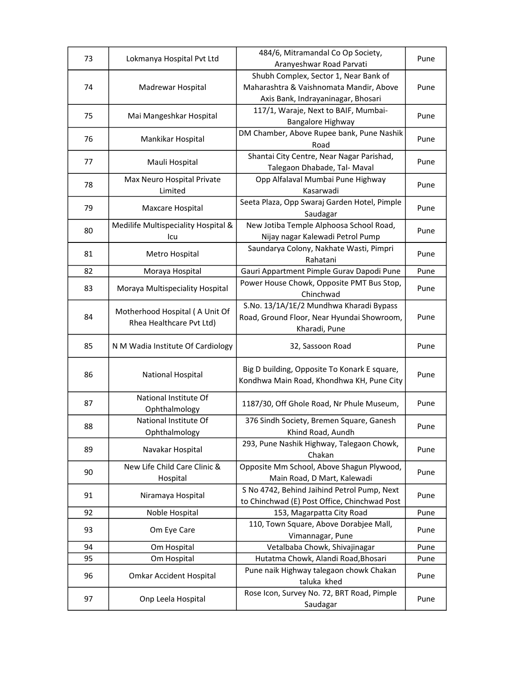| 73 | Lokmanya Hospital Pvt Ltd           | 484/6, Mitramandal Co Op Society,            | Pune                                                 |
|----|-------------------------------------|----------------------------------------------|------------------------------------------------------|
|    |                                     | Aranyeshwar Road Parvati                     |                                                      |
|    |                                     | Shubh Complex, Sector 1, Near Bank of        |                                                      |
| 74 | Madrewar Hospital                   | Maharashtra & Vaishnomata Mandir, Above      | Pune                                                 |
|    |                                     | Axis Bank, Indrayaninagar, Bhosari           |                                                      |
|    |                                     | 117/1, Waraje, Next to BAIF, Mumbai-         |                                                      |
| 75 | Mai Mangeshkar Hospital             | Bangalore Highway                            | Pune                                                 |
|    |                                     | DM Chamber, Above Rupee bank, Pune Nashik    |                                                      |
| 76 | Mankikar Hospital                   | Road                                         | Pune                                                 |
|    |                                     | Shantai City Centre, Near Nagar Parishad,    |                                                      |
| 77 | Mauli Hospital                      | Talegaon Dhabade, Tal- Maval                 | Pune                                                 |
|    | Max Neuro Hospital Private          | Opp Alfalaval Mumbai Pune Highway            |                                                      |
| 78 | Limited                             | Kasarwadi                                    | Pune                                                 |
|    |                                     | Seeta Plaza, Opp Swaraj Garden Hotel, Pimple |                                                      |
| 79 | Maxcare Hospital                    | Saudagar                                     |                                                      |
|    | Medilife Multispeciality Hospital & | New Jotiba Temple Alphoosa School Road,      |                                                      |
| 80 | Icu                                 | Nijay nagar Kalewadi Petrol Pump             | Pune<br>Pune<br>Pune<br>Pune<br>Pune<br>Pune<br>Pune |
|    |                                     | Saundarya Colony, Nakhate Wasti, Pimpri      |                                                      |
| 81 | Metro Hospital                      | Rahatani                                     |                                                      |
| 82 | Moraya Hospital                     | Gauri Appartment Pimple Gurav Dapodi Pune    |                                                      |
|    |                                     | Power House Chowk, Opposite PMT Bus Stop,    |                                                      |
| 83 | Moraya Multispeciality Hospital     | Chinchwad                                    |                                                      |
|    |                                     | S.No. 13/1A/1E/2 Mundhwa Kharadi Bypass      |                                                      |
| 84 | Motherhood Hospital (A Unit Of      |                                              |                                                      |
|    | Rhea Healthcare Pvt Ltd)            | Road, Ground Floor, Near Hyundai Showroom,   |                                                      |
|    |                                     | Kharadi, Pune                                |                                                      |
| 85 | N M Wadia Institute Of Cardiology   | 32, Sassoon Road                             |                                                      |
|    |                                     |                                              |                                                      |
|    |                                     | Big D building, Opposite To Konark E square, |                                                      |
| 86 | National Hospital                   | Kondhwa Main Road, Khondhwa KH, Pune City    | Pune                                                 |
|    |                                     |                                              |                                                      |
| 87 | National Institute Of               | 1187/30, Off Ghole Road, Nr Phule Museum,    | Pune                                                 |
|    | Ophthalmology                       |                                              |                                                      |
| 88 | National Institute Of               | 376 Sindh Society, Bremen Square, Ganesh     | Pune                                                 |
|    | Ophthalmology                       | Khind Road, Aundh                            |                                                      |
| 89 | Navakar Hospital                    | 293, Pune Nashik Highway, Talegaon Chowk,    | Pune                                                 |
|    |                                     | Chakan                                       |                                                      |
| 90 | New Life Child Care Clinic &        | Opposite Mm School, Above Shagun Plywood,    | Pune                                                 |
|    | Hospital                            | Main Road, D Mart, Kalewadi                  |                                                      |
| 91 | Niramaya Hospital                   | S No 4742, Behind Jaihind Petrol Pump, Next  | Pune                                                 |
|    |                                     | to Chinchwad (E) Post Office, Chinchwad Post |                                                      |
| 92 | Noble Hospital                      | 153, Magarpatta City Road                    | Pune                                                 |
| 93 | Om Eye Care                         | 110, Town Square, Above Dorabjee Mall,       | Pune                                                 |
|    |                                     | Vimannagar, Pune                             |                                                      |
| 94 | Om Hospital                         | Vetalbaba Chowk, Shivajinagar                | Pune                                                 |
| 95 | Om Hospital                         | Hutatma Chowk, Alandi Road, Bhosari          | Pune                                                 |
| 96 | <b>Omkar Accident Hospital</b>      | Pune naik Highway talegaon chowk Chakan      | Pune                                                 |
|    |                                     | taluka khed                                  |                                                      |
|    |                                     | Rose Icon, Survey No. 72, BRT Road, Pimple   |                                                      |
| 97 | Onp Leela Hospital                  | Saudagar                                     | Pune                                                 |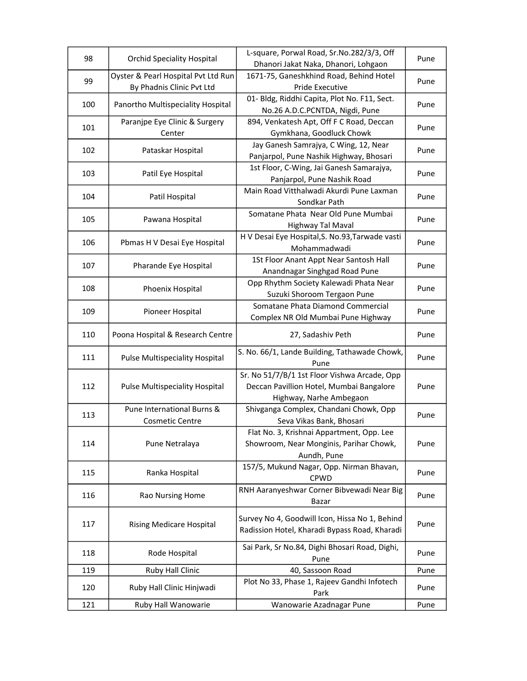| 98  | <b>Orchid Speciality Hospital</b>                    | L-square, Porwal Road, Sr.No.282/3/3, Off<br>Dhanori Jakat Naka, Dhanori, Lohgaon                                   | Pune |
|-----|------------------------------------------------------|---------------------------------------------------------------------------------------------------------------------|------|
|     | Oyster & Pearl Hospital Pvt Ltd Run                  | 1671-75, Ganeshkhind Road, Behind Hotel                                                                             |      |
| 99  | By Phadnis Clinic Pvt Ltd                            | Pride Executive                                                                                                     | Pune |
|     |                                                      | 01- Bldg, Riddhi Capita, Plot No. F11, Sect.                                                                        |      |
| 100 | Panortho Multispeciality Hospital                    | No.26 A.D.C.PCNTDA, Nigdi, Pune                                                                                     | Pune |
|     | Paranjpe Eye Clinic & Surgery                        | 894, Venkatesh Apt, Off F C Road, Deccan                                                                            |      |
| 101 | Center                                               | Gymkhana, Goodluck Chowk                                                                                            | Pune |
| 102 | Pataskar Hospital                                    | Jay Ganesh Samrajya, C Wing, 12, Near<br>Panjarpol, Pune Nashik Highway, Bhosari                                    | Pune |
| 103 | Patil Eye Hospital                                   | 1st Floor, C-Wing, Jai Ganesh Samarajya,                                                                            | Pune |
|     |                                                      | Panjarpol, Pune Nashik Road                                                                                         |      |
| 104 | Patil Hospital                                       | Main Road Vitthalwadi Akurdi Pune Laxman<br>Sondkar Path                                                            | Pune |
| 105 | Pawana Hospital                                      | Somatane Phata Near Old Pune Mumbai<br>Highway Tal Maval                                                            | Pune |
| 106 | Pbmas H V Desai Eye Hospital                         | H V Desai Eye Hospital, S. No.93, Tarwade vasti<br>Mohammadwadi                                                     | Pune |
| 107 | Pharande Eye Hospital                                | 1St Floor Anant Appt Near Santosh Hall<br>Anandnagar Singhgad Road Pune                                             | Pune |
| 108 | Phoenix Hospital                                     | Opp Rhythm Society Kalewadi Phata Near<br>Suzuki Shoroom Tergaon Pune                                               | Pune |
|     |                                                      | Somatane Phata Diamond Commercial                                                                                   |      |
| 109 | Pioneer Hospital                                     | Complex NR Old Mumbai Pune Highway                                                                                  | Pune |
| 110 | Poona Hospital & Research Centre                     | 27, Sadashiv Peth                                                                                                   | Pune |
| 111 | <b>Pulse Multispeciality Hospital</b>                | S. No. 66/1, Lande Building, Tathawade Chowk,<br>Pune                                                               | Pune |
| 112 | <b>Pulse Multispeciality Hospital</b>                | Sr. No 51/7/B/1 1st Floor Vishwa Arcade, Opp<br>Deccan Pavillion Hotel, Mumbai Bangalore<br>Highway, Narhe Ambegaon | Pune |
| 113 | Pune International Burns &<br><b>Cosmetic Centre</b> | Shivganga Complex, Chandani Chowk, Opp<br>Seva Vikas Bank, Bhosari                                                  | Pune |
| 114 | Pune Netralaya                                       | Flat No. 3, Krishnai Appartment, Opp. Lee<br>Showroom, Near Monginis, Parihar Chowk,<br>Aundh, Pune                 | Pune |
| 115 | Ranka Hospital                                       | 157/5, Mukund Nagar, Opp. Nirman Bhavan,                                                                            | Pune |
|     |                                                      | <b>CPWD</b>                                                                                                         |      |
| 116 | Rao Nursing Home                                     | RNH Aaranyeshwar Corner Bibvewadi Near Big<br>Bazar                                                                 | Pune |
| 117 | <b>Rising Medicare Hospital</b>                      | Survey No 4, Goodwill Icon, Hissa No 1, Behind<br>Radission Hotel, Kharadi Bypass Road, Kharadi                     | Pune |
| 118 | Rode Hospital                                        | Sai Park, Sr No.84, Dighi Bhosari Road, Dighi,<br>Pune                                                              | Pune |
| 119 | Ruby Hall Clinic                                     | 40, Sassoon Road                                                                                                    | Pune |
| 120 | Ruby Hall Clinic Hinjwadi                            | Plot No 33, Phase 1, Rajeev Gandhi Infotech<br>Park                                                                 | Pune |
|     |                                                      |                                                                                                                     |      |
| 121 | Ruby Hall Wanowarie                                  | Wanowarie Azadnagar Pune                                                                                            | Pune |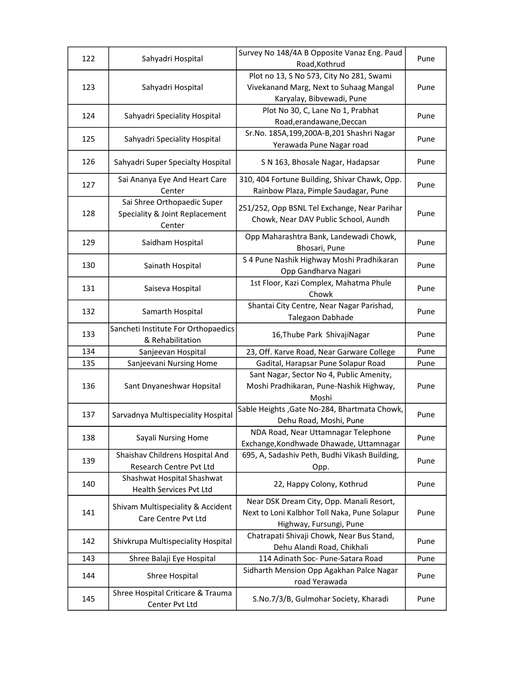| 122                                           | Sahyadri Hospital                   | Survey No 148/4A B Opposite Vanaz Eng. Paud   | Pune |
|-----------------------------------------------|-------------------------------------|-----------------------------------------------|------|
|                                               |                                     | Road, Kothrud                                 |      |
|                                               |                                     | Plot no 13, S No 573, City No 281, Swami      |      |
| 123                                           | Sahyadri Hospital                   | Vivekanand Marg, Next to Suhaag Mangal        | Pune |
|                                               |                                     | Karyalay, Bibvewadi, Pune                     |      |
|                                               |                                     | Plot No 30, C, Lane No 1, Prabhat             |      |
| 124                                           | Sahyadri Speciality Hospital        | Road, erandawane, Deccan                      | Pune |
|                                               |                                     | Sr.No. 185A,199,200A-B,201 Shashri Nagar      |      |
| 125                                           | Sahyadri Speciality Hospital        | Yerawada Pune Nagar road                      | Pune |
| 126                                           | Sahyadri Super Specialty Hospital   | S N 163, Bhosale Nagar, Hadapsar              | Pune |
|                                               | Sai Ananya Eye And Heart Care       | 310, 404 Fortune Building, Shivar Chawk, Opp. |      |
| 127                                           | Center                              | Rainbow Plaza, Pimple Saudagar, Pune          | Pune |
|                                               | Sai Shree Orthopaedic Super         |                                               |      |
| 128                                           | Speciality & Joint Replacement      | 251/252, Opp BSNL Tel Exchange, Near Parihar  | Pune |
|                                               | Center                              | Chowk, Near DAV Public School, Aundh          |      |
|                                               |                                     | Opp Maharashtra Bank, Landewadi Chowk,        |      |
| 129                                           | Saidham Hospital                    | Bhosari, Pune                                 | Pune |
|                                               |                                     | S 4 Pune Nashik Highway Moshi Pradhikaran     |      |
| 130                                           | Sainath Hospital                    | Opp Gandharva Nagari                          | Pune |
|                                               |                                     | 1st Floor, Kazi Complex, Mahatma Phule        |      |
| 131                                           | Saiseva Hospital                    | Chowk                                         | Pune |
|                                               |                                     | Shantai City Centre, Near Nagar Parishad,     |      |
| 132                                           | Samarth Hospital                    | Talegaon Dabhade                              | Pune |
|                                               | Sancheti Institute For Orthopaedics |                                               |      |
| 133                                           | & Rehabilitation                    | 16, Thube Park Shivaji Nagar                  | Pune |
|                                               | Sanjeevan Hospital                  | 23, Off. Karve Road, Near Garware College     | Pune |
|                                               | Sanjeevani Nursing Home             | Gadital, Harapsar Pune Solapur Road           | Pune |
|                                               |                                     | Sant Nagar, Sector No 4, Public Amenity,      |      |
|                                               | Sant Dnyaneshwar Hopsital           | Moshi Pradhikaran, Pune-Nashik Highway,       | Pune |
|                                               |                                     |                                               |      |
|                                               |                                     | Moshi                                         |      |
| 137                                           | Sarvadnya Multispeciality Hospital  | Sable Heights, Gate No-284, Bhartmata Chowk,  | Pune |
| 134<br>135<br>136<br>138<br>139<br>140<br>141 |                                     | Dehu Road, Moshi, Pune                        |      |
|                                               | Sayali Nursing Home                 | NDA Road, Near Uttamnagar Telephone           | Pune |
|                                               |                                     | Exchange, Kondhwade Dhawade, Uttamnagar       |      |
|                                               | Shaishav Childrens Hospital And     | 695, A, Sadashiv Peth, Budhi Vikash Building, | Pune |
|                                               | Research Centre Pvt Ltd             | Opp.                                          |      |
|                                               | Shashwat Hospital Shashwat          | 22, Happy Colony, Kothrud                     | Pune |
|                                               | Health Services Pvt Ltd             |                                               |      |
|                                               | Shivam Multispeciality & Accident   | Near DSK Dream City, Opp. Manali Resort,      |      |
|                                               | Care Centre Pvt Ltd                 | Next to Loni Kalbhor Toll Naka, Pune Solapur  | Pune |
|                                               |                                     | Highway, Fursungi, Pune                       |      |
| 142                                           | Shivkrupa Multispeciality Hospital  | Chatrapati Shivaji Chowk, Near Bus Stand,     | Pune |
|                                               |                                     | Dehu Alandi Road, Chikhali                    |      |
| 143                                           | Shree Balaji Eye Hospital           | 114 Adinath Soc- Pune-Satara Road             | Pune |
| 144                                           | Shree Hospital                      | Sidharth Mension Opp Agakhan Palce Nagar      | Pune |
|                                               |                                     | road Yerawada                                 |      |
|                                               | Shree Hospital Criticare & Trauma   | S.No.7/3/B, Gulmohar Society, Kharadi         |      |
| 145                                           | Center Pvt Ltd                      |                                               | Pune |